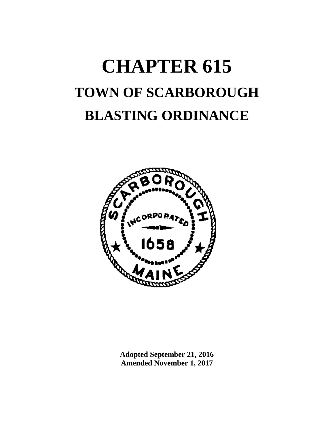# **CHAPTER 615 TOWN OF SCARBOROUGH BLASTING ORDINANCE**



**Adopted September 21, 2016 Amended November 1, 2017**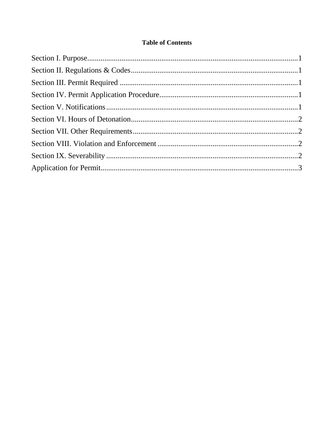# **Table of Contents**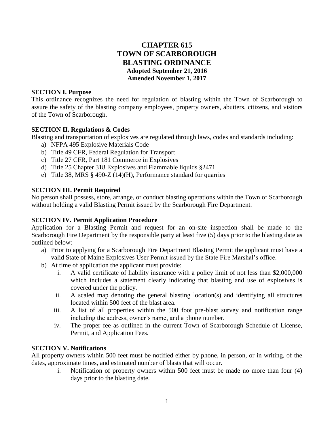# **CHAPTER 615 TOWN OF SCARBOROUGH BLASTING ORDINANCE Adopted September 21, 2016 Amended November 1, 2017**

#### **SECTION I. Purpose**

This ordinance recognizes the need for regulation of blasting within the Town of Scarborough to assure the safety of the blasting company employees, property owners, abutters, citizens, and visitors of the Town of Scarborough.

# **SECTION II. Regulations & Codes**

Blasting and transportation of explosives are regulated through laws, codes and standards including:

- a) NFPA 495 Explosive Materials Code
- b) Title 49 CFR, Federal Regulation for Transport
- c) Title 27 CFR, Part 181 Commerce in Explosives
- d) Title 25 Chapter 318 Explosives and Flammable liquids §2471
- e) Title 38, MRS § 490-Z (14)(H), Performance standard for quarries

## **SECTION III. Permit Required**

No person shall possess, store, arrange, or conduct blasting operations within the Town of Scarborough without holding a valid Blasting Permit issued by the Scarborough Fire Department.

# **SECTION IV. Permit Application Procedure**

Application for a Blasting Permit and request for an on-site inspection shall be made to the Scarborough Fire Department by the responsible party at least five (5) days prior to the blasting date as outlined below:

- a) Prior to applying for a Scarborough Fire Department Blasting Permit the applicant must have a valid State of Maine Explosives User Permit issued by the State Fire Marshal's office.
- b) At time of application the applicant must provide:
	- i. A valid certificate of liability insurance with a policy limit of not less than \$2,000,000 which includes a statement clearly indicating that blasting and use of explosives is covered under the policy.
	- ii. A scaled map denoting the general blasting location(s) and identifying all structures located within 500 feet of the blast area.
	- iii. A list of all properties within the 500 foot pre-blast survey and notification range including the address, owner's name, and a phone number.
	- iv. The proper fee as outlined in the current Town of Scarborough Schedule of License, Permit, and Application Fees.

# **SECTION V. Notifications**

All property owners within 500 feet must be notified either by phone, in person, or in writing, of the dates, approximate times, and estimated number of blasts that will occur.

i. Notification of property owners within 500 feet must be made no more than four (4) days prior to the blasting date.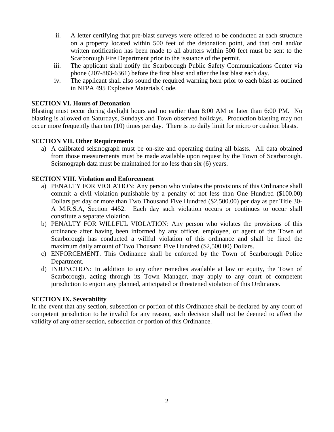- ii. A letter certifying that pre-blast surveys were offered to be conducted at each structure on a property located within 500 feet of the detonation point, and that oral and/or written notification has been made to all abutters within 500 feet must be sent to the Scarborough Fire Department prior to the issuance of the permit.
- iii. The applicant shall notify the Scarborough Public Safety Communications Center via phone (207-883-6361) before the first blast and after the last blast each day.
- iv. The applicant shall also sound the required warning horn prior to each blast as outlined in NFPA 495 Explosive Materials Code.

## **SECTION VI. Hours of Detonation**

Blasting must occur during daylight hours and no earlier than 8:00 AM or later than 6:00 PM. No blasting is allowed on Saturdays, Sundays and Town observed holidays. Production blasting may not occur more frequently than ten (10) times per day. There is no daily limit for micro or cushion blasts.

## **SECTION VII. Other Requirements**

a) A calibrated seismograph must be on-site and operating during all blasts. All data obtained from those measurements must be made available upon request by the Town of Scarborough. Seismograph data must be maintained for no less than six (6) years.

## **SECTION VIII. Violation and Enforcement**

- a) PENALTY FOR VIOLATION: Any person who violates the provisions of this Ordinance shall commit a civil violation punishable by a penalty of not less than One Hundred (\$100.00) Dollars per day or more than Two Thousand Five Hundred (\$2,500.00) per day as per Title 30- A M.R.S.A, Section 4452. Each day such violation occurs or continues to occur shall constitute a separate violation.
- b) PENALTY FOR WILLFUL VIOLATION: Any person who violates the provisions of this ordinance after having been informed by any officer, employee, or agent of the Town of Scarborough has conducted a willful violation of this ordinance and shall be fined the maximum daily amount of Two Thousand Five Hundred (\$2,500.00) Dollars.
- c) ENFORCEMENT. This Ordinance shall be enforced by the Town of Scarborough Police Department.
- d) INJUNCTION: In addition to any other remedies available at law or equity, the Town of Scarborough, acting through its Town Manager, may apply to any court of competent jurisdiction to enjoin any planned, anticipated or threatened violation of this Ordinance.

#### **SECTION IX. Severability**

In the event that any section, subsection or portion of this Ordinance shall be declared by any court of competent jurisdiction to be invalid for any reason, such decision shall not be deemed to affect the validity of any other section, subsection or portion of this Ordinance.